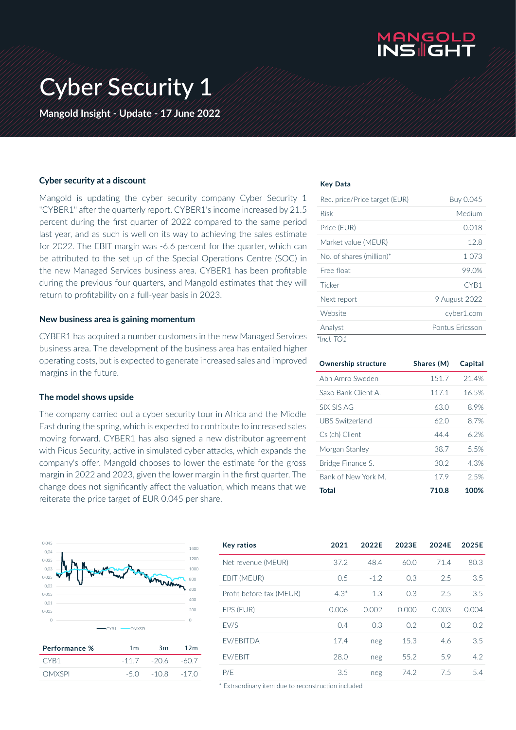

# Cyber Security 1

**Mangold Insight - Update - 17 June 2022**

#### **Cyber security at a discount**

Mangold is updating the cyber security company Cyber Security 1 "CYBER1" after the quarterly report. CYBER1's income increased by 21.5 percent during the first quarter of 2022 compared to the same period last year, and as such is well on its way to achieving the sales estimate for 2022. The EBIT margin was -6.6 percent for the quarter, which can be attributed to the set up of the Special Operations Centre (SOC) in the new Managed Services business area. CYBER1 has been profitable during the previous four quarters, and Mangold estimates that they will return to profitability on a full-year basis in 2023.

#### **New business area is gaining momentum**

CYBER1 has acquired a number customers in the new Managed Services business area. The development of the business area has entailed higher operating costs, but is expected to generate increased sales and improved margins in the future.

#### **The model shows upside**

The company carried out a cyber security tour in Africa and the Middle East during the spring, which is expected to contribute to increased sales moving forward. CYBER1 has also signed a new distributor agreement with Picus Security, active in simulated cyber attacks, which expands the company's offer. Mangold chooses to lower the estimate for the gross margin in 2022 and 2023, given the lower margin in the first quarter. The change does not significantly affect the valuation, which means that we reiterate the price target of EUR 0.045 per share.



| Performance % | 1 <sub>m</sub> | 3m             | 12m    |
|---------------|----------------|----------------|--------|
| CYR1          |                | $-11.7 - 20.6$ | -60.7  |
| <b>OMXSPL</b> |                | $-50 - 108$    | $-170$ |

#### **Key Data**

| Rec. price/Price target (EUR) | Buy 0.045       |
|-------------------------------|-----------------|
| <b>Risk</b>                   | Medium          |
| Price (EUR)                   | 0.018           |
| Market value (MEUR)           | 12.8            |
| No. of shares (million)*      | 1.073           |
| Free float                    | 99.0%           |
| Ticker                        | CYR1            |
| Next report                   | 9 August 2022   |
| Website                       | cyber1.com      |
| Analyst                       | Pontus Fricsson |
| *Incl. TO1                    |                 |

| <b>Ownership structure</b> | Shares (M) | Capital |
|----------------------------|------------|---------|
| Ahn Amro Sweden            | 151.7      | 21.4%   |
| Saxo Bank Client A         | 117.1      | 16.5%   |
| <b>SIX SIS AG</b>          | 63.0       | 8.9%    |
| <b>UBS Switzerland</b>     | 62.0       | 8.7%    |
| Cs (ch) Client             | 44.4       | 6.2%    |
| Morgan Stanley             | 38.7       | 5.5%    |
| Bridge Finance S.          | 30.2       | 4.3%    |
| Bank of New York M.        | 17.9       | 2.5%    |
| Total                      | 710.8      | 100%    |

| <b>Key ratios</b>        | 2021   | 2022E    | 2023E | 2024E | 2025E |
|--------------------------|--------|----------|-------|-------|-------|
| Net revenue (MEUR)       | 37.2   | 48.4     | 60.0  | 71.4  | 80.3  |
| EBIT (MEUR)              | 0.5    | $-1.2$   | 0.3   | 2.5   | 3.5   |
| Profit before tax (MEUR) | $4.3*$ | $-1.3$   | 0.3   | 2.5   | 3.5   |
| EPS (EUR)                | 0.006  | $-0.002$ | 0.000 | 0.003 | 0.004 |
| <b>FV/S</b>              | 0.4    | 0.3      | 0.2   | 0.2   | 0.2   |
| <b>FV/FBITDA</b>         | 17.4   | neg      | 15.3  | 4.6   | 3.5   |
| EV/EBIT                  | 28.0   | neg      | 55.2  | 5.9   | 4.2   |
| P/F                      | 3.5    | neg      | 74.2  | 7.5   | 5.4   |

\* Extraordinary item due to reconstruction included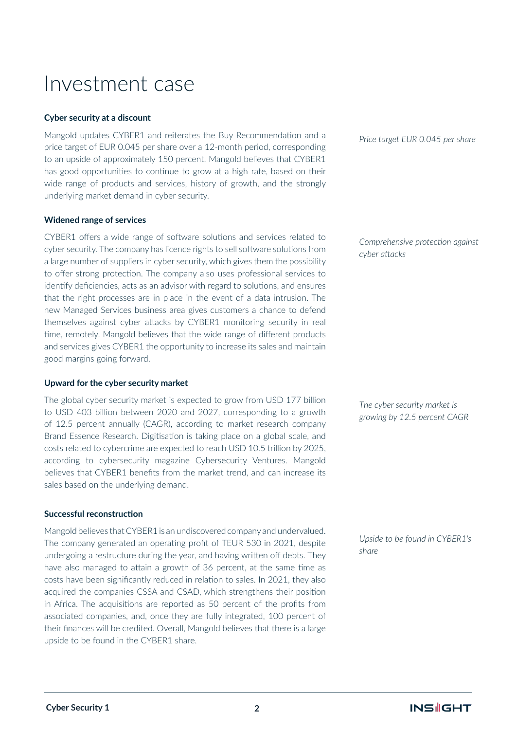### Investment case

#### **Cyber security at a discount**

Mangold updates CYBER1 and reiterates the Buy Recommendation and a price target of EUR 0.045 per share over a 12-month period, corresponding to an upside of approximately 150 percent. Mangold believes that CYBER1 has good opportunities to continue to grow at a high rate, based on their wide range of products and services, history of growth, and the strongly underlying market demand in cyber security.

#### **Widened range of services**

CYBER1 offers a wide range of software solutions and services related to cyber security. The company has licence rights to sell software solutions from a large number of suppliers in cyber security, which gives them the possibility to offer strong protection. The company also uses professional services to identify deficiencies, acts as an advisor with regard to solutions, and ensures that the right processes are in place in the event of a data intrusion. The new Managed Services business area gives customers a chance to defend themselves against cyber attacks by CYBER1 monitoring security in real time, remotely. Mangold believes that the wide range of different products and services gives CYBER1 the opportunity to increase its sales and maintain good margins going forward.

#### **Upward for the cyber security market**

The global cyber security market is expected to grow from USD 177 billion to USD 403 billion between 2020 and 2027, corresponding to a growth of 12.5 percent annually (CAGR), according to market research company Brand Essence Research. Digitisation is taking place on a global scale, and costs related to cybercrime are expected to reach USD 10.5 trillion by 2025, according to cybersecurity magazine Cybersecurity Ventures. Mangold believes that CYBER1 benefits from the market trend, and can increase its sales based on the underlying demand.

#### **Successful reconstruction**

Mangold believes that CYBER1 is an undiscovered company and undervalued. The company generated an operating profit of TEUR 530 in 2021, despite undergoing a restructure during the year, and having written off debts. They have also managed to attain a growth of 36 percent, at the same time as costs have been significantly reduced in relation to sales. In 2021, they also acquired the companies CSSA and CSAD, which strengthens their position in Africa. The acquisitions are reported as 50 percent of the profits from associated companies, and, once they are fully integrated, 100 percent of their finances will be credited. Overall, Mangold believes that there is a large upside to be found in the CYBER1 share.

*Price target EUR 0.045 per share* 

*Comprehensive protection against cyber attacks*

*The cyber security market is growing by 12.5 percent CAGR*

*Upside to be found in CYBER1's share*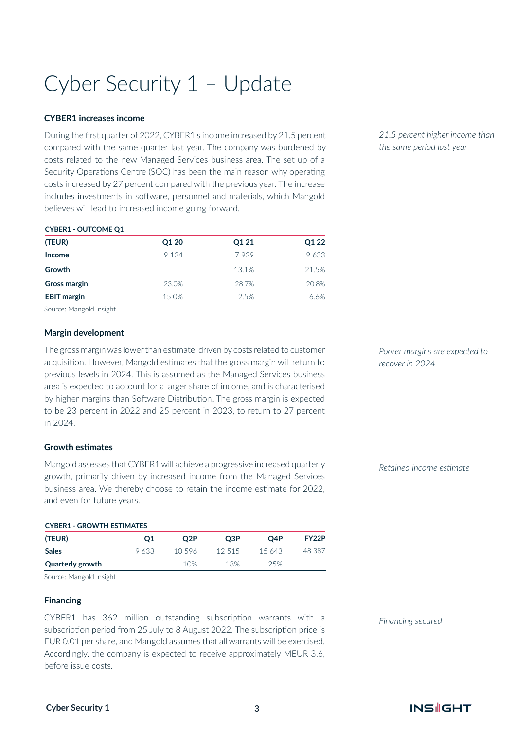# Cyber Security 1 – Update

#### **CYBER1 increases income**

During the first quarter of 2022, CYBER1's income increased by 21.5 percent compared with the same quarter last year. The company was burdened by costs related to the new Managed Services business area. The set up of a Security Operations Centre (SOC) has been the main reason why operating costs increased by 27 percent compared with the previous year. The increase includes investments in software, personnel and materials, which Mangold believes will lead to increased income going forward.

| <b>CYBERI-OUTCOME QI</b> |           |          |       |
|--------------------------|-----------|----------|-------|
| (TEUR)                   | Q1 20     | Q1 21    | Q1 22 |
| <b>Income</b>            | 9 1 2 4   | 7929     | 9633  |
| Growth                   |           | $-13.1%$ | 21.5% |
| <b>Gross margin</b>      | 23.0%     | 28.7%    | 20.8% |
| <b>EBIT</b> margin       | $-15.0\%$ | 2.5%     | -6.6% |

Source: Mangold Insight

**CYBER1 - OUTCOME Q1**

#### **Margin development**

The gross margin was lower than estimate, driven by costs related to customer acquisition. However, Mangold estimates that the gross margin will return to previous levels in 2024. This is assumed as the Managed Services business area is expected to account for a larger share of income, and is characterised by higher margins than Software Distribution. The gross margin is expected to be 23 percent in 2022 and 25 percent in 2023, to return to 27 percent in 2024.

#### **Growth estimates**

Mangold assesses that CYBER1 will achieve a progressive increased quarterly growth, primarily driven by increased income from the Managed Services business area. We thereby choose to retain the income estimate for 2022, and even for future years.

#### **CYBER1 - GROWTH ESTIMATES**

| 9.633 | 10.596 | 12.515 | 15.643 | 48 387 |
|-------|--------|--------|--------|--------|
|       | 10%    | 18%    | 25%    |        |
|       |        |        |        |        |

Source: Mangold Insight

#### **Financing**

CYBER1 has 362 million outstanding subscription warrants with a subscription period from 25 July to 8 August 2022. The subscription price is EUR 0.01 per share, and Mangold assumes that all warrants will be exercised. Accordingly, the company is expected to receive approximately MEUR 3.6, before issue costs.

*21.5 percent higher income than the same period last year*

*Poorer margins are expected to recover in 2024*

*Retained income estimate*

*Financing secured*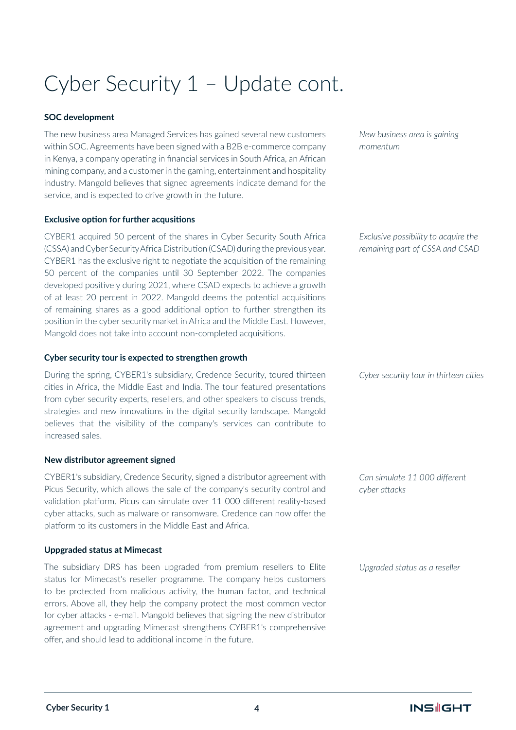# Cyber Security 1 – Update cont.

#### **SOC development**

The new business area Managed Services has gained several new customers within SOC. Agreements have been signed with a B2B e-commerce company in Kenya, a company operating in financial services in South Africa, an African mining company, and a customer in the gaming, entertainment and hospitality industry. Mangold believes that signed agreements indicate demand for the service, and is expected to drive growth in the future.

#### **Exclusive option for further acqusitions**

CYBER1 acquired 50 percent of the shares in Cyber Security South Africa (CSSA) and Cyber Security Africa Distribution (CSAD) during the previous year. CYBER1 has the exclusive right to negotiate the acquisition of the remaining 50 percent of the companies until 30 September 2022. The companies developed positively during 2021, where CSAD expects to achieve a growth of at least 20 percent in 2022. Mangold deems the potential acquisitions of remaining shares as a good additional option to further strengthen its position in the cyber security market in Africa and the Middle East. However, Mangold does not take into account non-completed acquisitions.

#### **Cyber security tour is expected to strengthen growth**

During the spring, CYBER1's subsidiary, Credence Security, toured thirteen cities in Africa, the Middle East and India. The tour featured presentations from cyber security experts, resellers, and other speakers to discuss trends, strategies and new innovations in the digital security landscape. Mangold believes that the visibility of the company's services can contribute to increased sales.

#### **New distributor agreement signed**

CYBER1's subsidiary, Credence Security, signed a distributor agreement with Picus Security, which allows the sale of the company's security control and validation platform. Picus can simulate over 11 000 different reality-based cyber attacks, such as malware or ransomware. Credence can now offer the platform to its customers in the Middle East and Africa.

### **Uppgraded status at Mimecast**

The subsidiary DRS has been upgraded from premium resellers to Elite status for Mimecast's reseller programme. The company helps customers to be protected from malicious activity, the human factor, and technical errors. Above all, they help the company protect the most common vector for cyber attacks - e-mail. Mangold believes that signing the new distributor agreement and upgrading Mimecast strengthens CYBER1's comprehensive offer, and should lead to additional income in the future.

*New business area is gaining momentum*

*Exclusive possibility to acquire the remaining part of CSSA and CSAD*

*Cyber security tour in thirteen cities*

*Can simulate 11 000 different cyber attacks*

*Upgraded status as a reseller*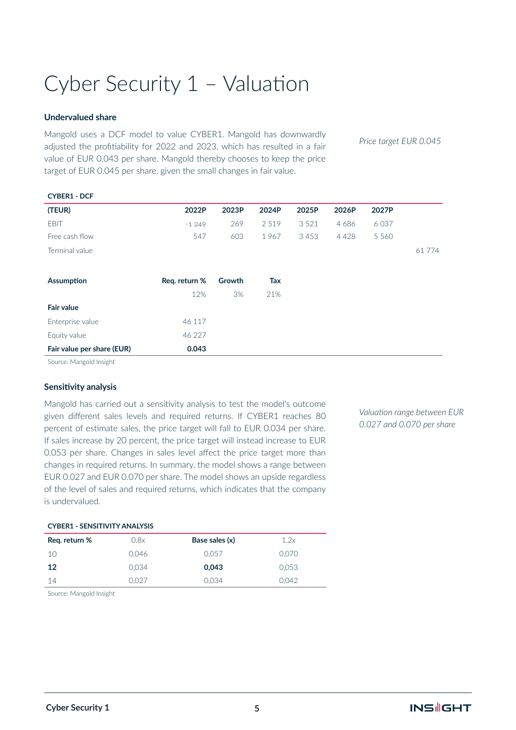## Cyber Security 1 – Valuation

#### **Undervalued share**

Mangold uses a DCF model to value CYBER1. Mangold has downwardly adjusted the profitiability for 2022 and 2023, which has resulted in a fair value of EUR 0.043 per share. Mangold thereby chooses to keep the price target of EUR 0.045 per share, given the small changes in fair value.

*Price target EUR 0.045*

| <b>CYBER1 - DCF</b>        |               |        |       |         |       |         |        |
|----------------------------|---------------|--------|-------|---------|-------|---------|--------|
| (TEUR)                     | 2022P         | 2023P  | 2024P | 2025P   | 2026P | 2027P   |        |
| <b>EBIT</b>                | $-1249$       | 269    | 2519  | 3 5 2 1 | 4686  | 6037    |        |
| Free cash flow             | 547           | 603    | 1967  | 3453    | 4428  | 5 5 6 0 |        |
| Terminal value             |               |        |       |         |       |         | 61 774 |
|                            |               |        |       |         |       |         |        |
| <b>Assumption</b>          | Req. return % | Growth | Tax   |         |       |         |        |
|                            | 12%           | 3%     | 21%   |         |       |         |        |
| <b>Fair value</b>          |               |        |       |         |       |         |        |
| Enterprise value           | 46 117        |        |       |         |       |         |        |
| Equity value               | 46 227        |        |       |         |       |         |        |
| Fair value per share (EUR) | 0.043         |        |       |         |       |         |        |
|                            |               |        |       |         |       |         |        |

Source: Mangold Insight

#### **Sensitivity analysis**

Mangold has carried out a sensitivity analysis to test the model's outcome given different sales levels and required returns. If CYBER1 reaches 80 percent of estimate sales, the price target will fall to EUR 0.034 per share. If sales increase by 20 percent, the price target will instead increase to EUR 0.053 per share. Changes in sales level affect the price target more than changes in required returns. In summary, the model shows a range between EUR 0.027 and EUR 0.070 per share. The model shows an upside regardless of the level of sales and required returns, which indicates that the company is undervalued.

*Valuation range between EUR 0.027 and 0.070 per share*

#### **CYBER1 - SENSITIVITY ANALYSIS**

| Reg. return % | 0.8x  | Base sales (x) | 1.2x  |
|---------------|-------|----------------|-------|
| 10            | 0.046 | 0.057          | 0.070 |
| 12            | 0.034 | 0.043          | 0.053 |
| 14            | 0.027 | 0.034          | O 042 |

Source: Mangold Insight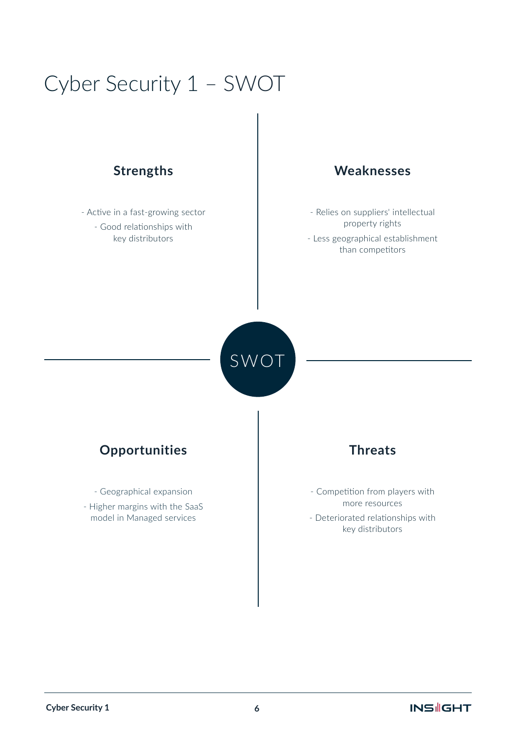### Cyber Security 1 – SWOT

- Active in a fast-growing sector - Good relationships with key distributors

### **Strengths Weaknesses**

- Relies on suppliers' intellectual property rights
- Less geographical establishment than competitors

SWOT

### **Opportunities Threats**

- Geographical expansion - Higher margins with the SaaS model in Managed services

- Competition from players with more resources - Deteriorated relationships with key distributors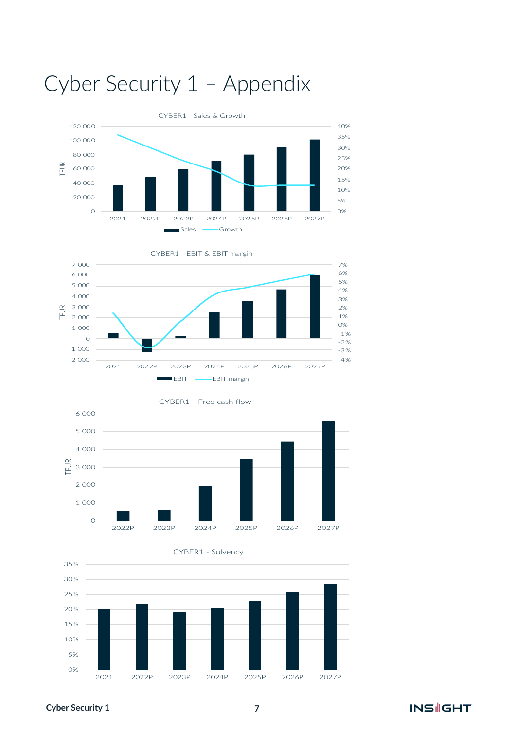

## Cyber Security 1 – Appendix







### **Cyber Security 1**

### **INS GHT**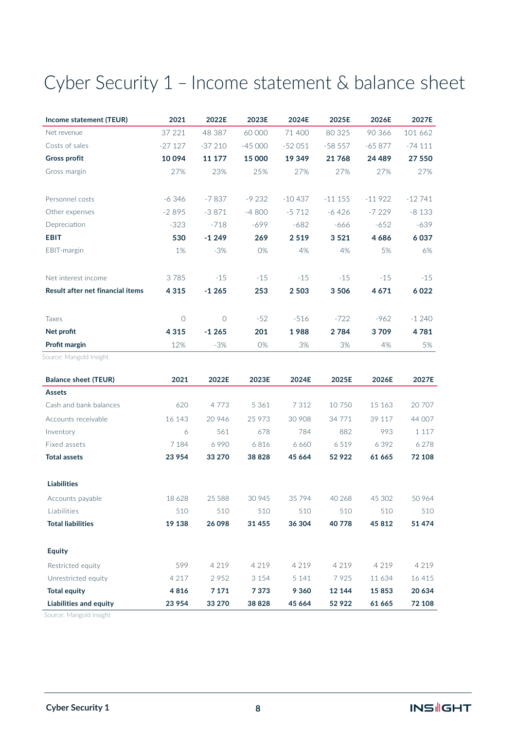### Cyber Security 1 – Income statement & balance sheet

| Income statement (TEUR)          | 2021       | 2022E      | 2023E    | 2024E    | 2025E    | 2026E    | 2027E    |
|----------------------------------|------------|------------|----------|----------|----------|----------|----------|
| Net revenue                      | 37 221     | 48 387     | 60 000   | 71 400   | 80 325   | 90 366   | 101 662  |
| Costs of sales                   | $-27127$   | $-37210$   | $-45000$ | $-52051$ | $-58557$ | $-65877$ | $-74111$ |
| <b>Gross profit</b>              | 10094      | 11 177     | 15 000   | 19 349   | 21768    | 24 489   | 27 550   |
| Gross margin                     | 27%        | 23%        | 25%      | 27%      | 27%      | 27%      | 27%      |
|                                  |            |            |          |          |          |          |          |
| Personnel costs                  | $-6346$    | $-7837$    | $-9232$  | $-10437$ | $-11155$ | $-11922$ | $-12741$ |
| Other expenses                   | $-2895$    | $-3871$    | $-4800$  | $-5712$  | $-6426$  | $-7229$  | $-8133$  |
| Depreciation                     | $-323$     | $-718$     | $-699$   | $-682$   | $-666$   | $-652$   | $-639$   |
| <b>EBIT</b>                      | 530        | $-1249$    | 269      | 2519     | 3521     | 4686     | 6037     |
| EBIT-margin                      | 1%         | $-3%$      | 0%       | 4%       | 4%       | 5%       | 6%       |
| Net interest income              | 3785       | $-15$      | $-15$    | $-15$    | $-15$    | $-15$    | $-15$    |
| Result after net financial items | 4 3 1 5    | $-1265$    | 253      | 2 5 0 3  | 3506     | 4671     | 6022     |
| Taxes                            | $\bigcirc$ | $\bigcirc$ | $-52$    | $-516$   | $-722$   | $-962$   | $-1240$  |
| Net profit                       | 4 3 1 5    | $-1265$    | 201      | 1988     | 2784     | 3709     | 4781     |
| Profit margin                    | 12%        | $-3%$      | 0%       | 3%       | 3%       | 4%       | 5%       |
| Source: Mangold Insight          |            |            |          |          |          |          |          |
| <b>Balance sheet (TEUR)</b>      | 2021       | 2022E      | 2023E    | 2024E    | 2025E    | 2026E    | 2027E    |
| <b>Assets</b>                    |            |            |          |          |          |          |          |
| Cash and bank balances           | 620        | 4 7 7 3    | 5 3 6 1  | 7 3 1 2  | 10 750   | 15 163   | 20 707   |
| Accounts receivable              | 16 143     | 20 946     | 25 973   | 30 908   | 34 771   | 39 117   | 44 007   |
| Inventory                        | 6          | 561        | 678      | 784      | 882      | 993      | 1 1 1 7  |
| Fixed assets                     | 7 1 8 4    | 6990       | 6816     | 6 6 6 0  | 6519     | 6 3 9 2  | 6 2 7 8  |
| <b>Total assets</b>              | 23 9 54    | 33 270     | 38 8 28  | 45 6 64  | 52922    | 61 665   | 72 108   |
| <b>Liabilities</b>               |            |            |          |          |          |          |          |
| Accounts payable                 | 18 6 28    | 25 5 88    | 30 945   | 35794    | 40 268   | 45 302   | 50 964   |
| Liabilities                      | 510        | 510        | 510      | 510      | 510      | 510      | 510      |
| <b>Total liabilities</b>         | 19 138     | 26 0 98    | 31 455   | 36 304   | 40778    | 45 812   | 51 474   |
| <b>Equity</b>                    |            |            |          |          |          |          |          |
| Restricted equity                | 599        | 4 2 1 9    | 4 2 1 9  | 4 2 1 9  | 4 2 1 9  | 4 2 1 9  | 4 2 1 9  |
| Unrestricted equity              | 4 2 1 7    | 2952       | 3 1 5 4  | 5 1 4 1  | 7925     | 11 634   | 16 4 15  |
| <b>Total equity</b>              | 4816       | 7 1 7 1    | 7373     | 9 3 6 0  | 12 144   | 15853    | 20 634   |
| Liabilities and equity           | 23 9 54    | 33 270     | 38 8 28  | 45 6 64  | 52922    | 61 665   | 72 108   |

Source: Mangold Insight